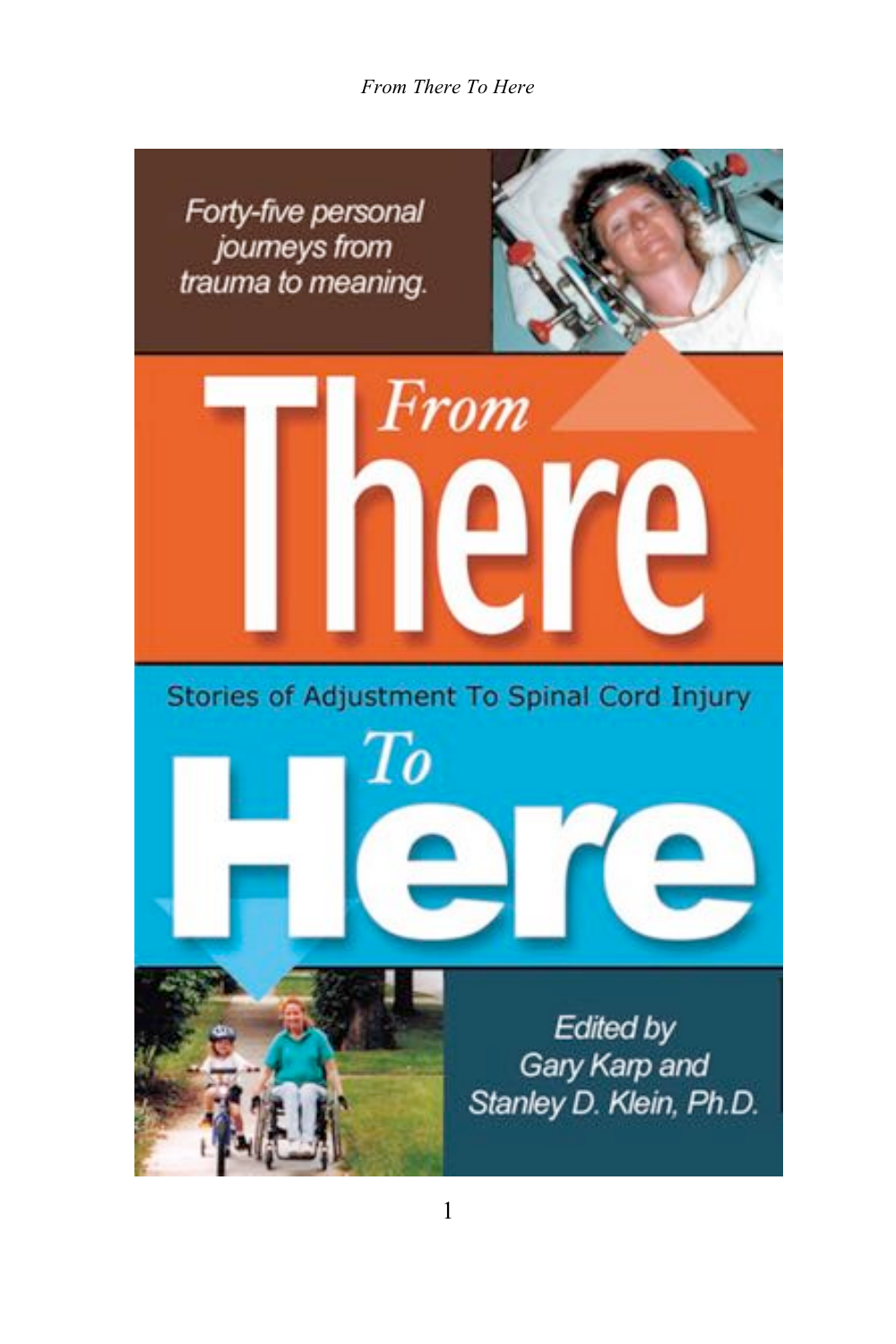*From There To Here*

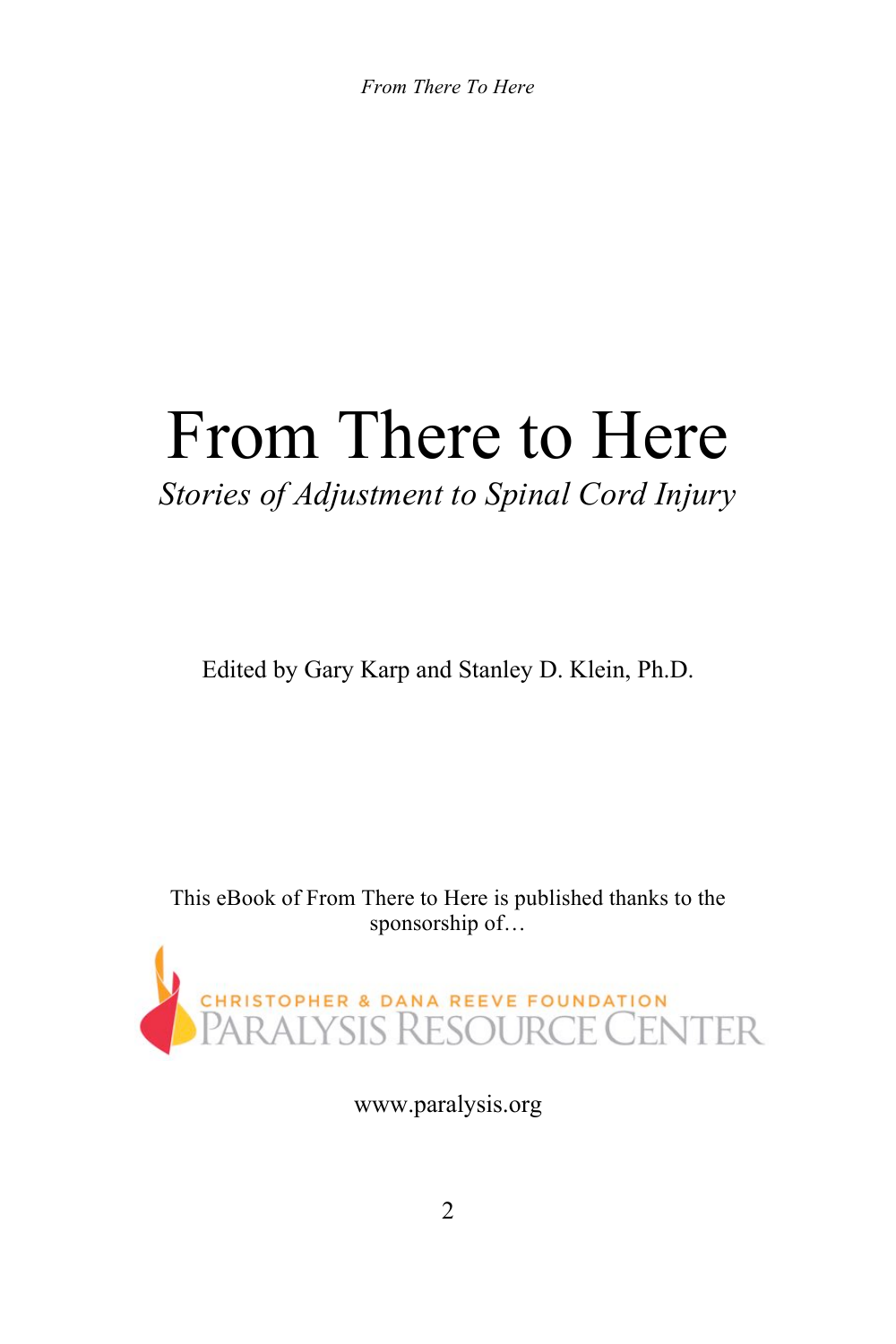*From There To Here*

# From There to Here

#### *Stories of Adjustment to Spinal Cord Injury*

Edited by Gary Karp and Stanley D. Klein, Ph.D.

This eBook of From There to Here is published thanks to the sponsorship of...



www.paralysis.org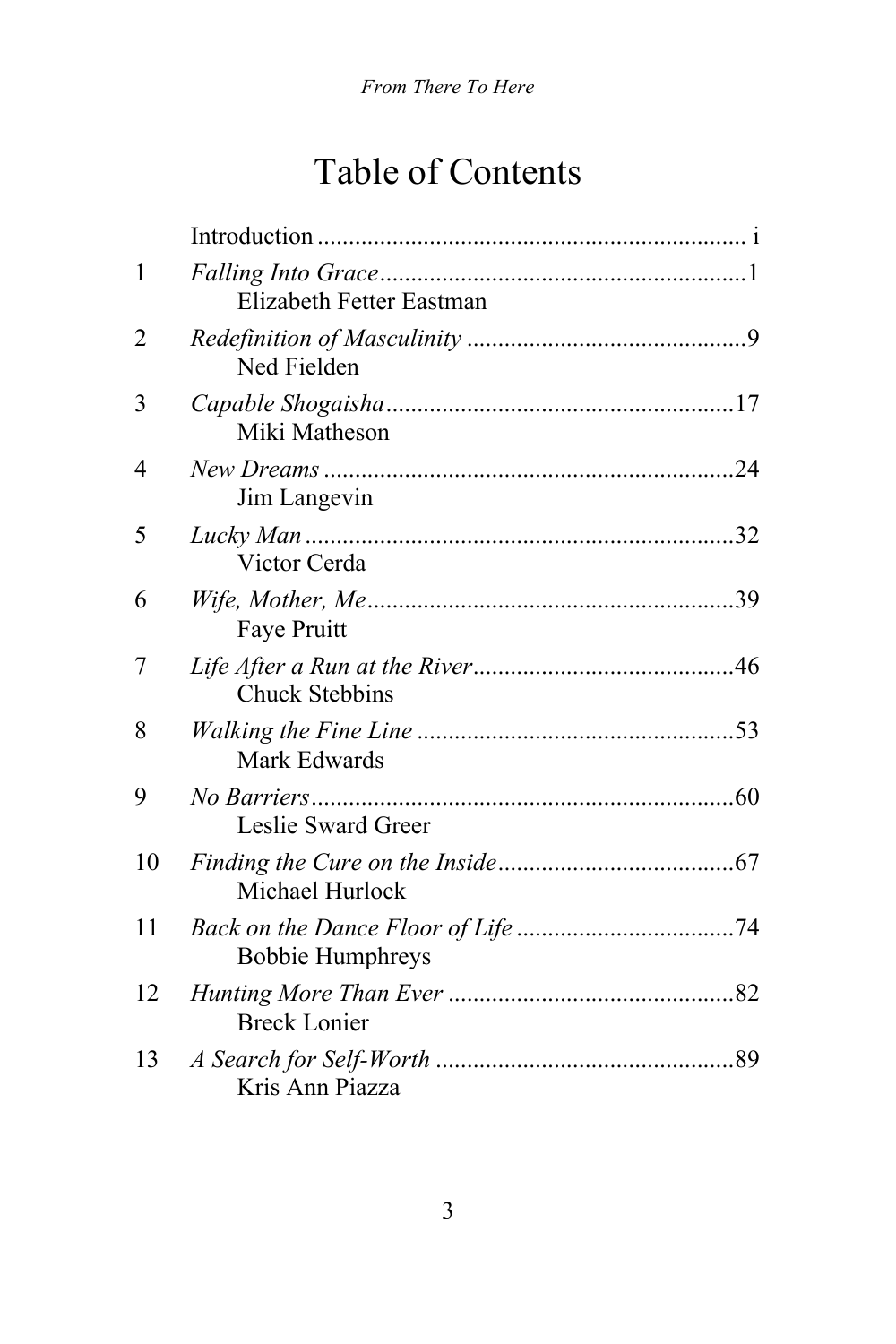## Table of Contents

| $\mathbf{1}$ | Elizabeth Fetter Eastman |  |
|--------------|--------------------------|--|
| 2            | Ned Fielden              |  |
| 3            | Miki Matheson            |  |
| 4            | Jim Langevin             |  |
| 5            | Victor Cerda             |  |
| 6            | Faye Pruitt              |  |
| 7            | <b>Chuck Stebbins</b>    |  |
| 8            | Mark Edwards             |  |
| 9            | Leslie Sward Greer       |  |
| 10           | Michael Hurlock          |  |
| 11           | <b>Bobbie Humphreys</b>  |  |
| 12           | <b>Breck Lonier</b>      |  |
| 13           | Kris Ann Piazza          |  |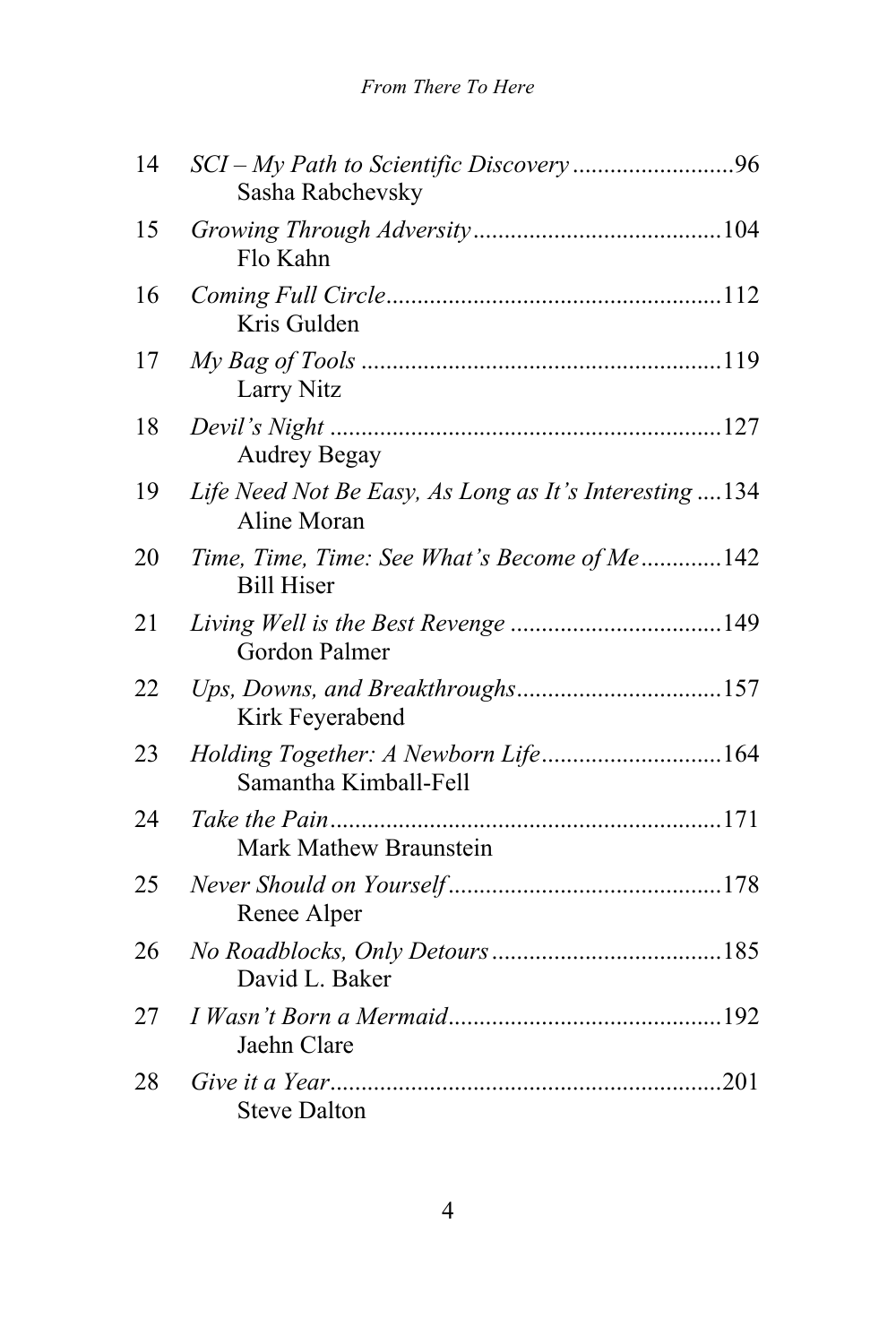| 14 | Sasha Rabchevsky                                                     |  |
|----|----------------------------------------------------------------------|--|
| 15 | Flo Kahn                                                             |  |
| 16 | Kris Gulden                                                          |  |
| 17 | Larry Nitz                                                           |  |
| 18 | <b>Audrey Begay</b>                                                  |  |
| 19 | Life Need Not Be Easy, As Long as It's Interesting134<br>Aline Moran |  |
| 20 | Time, Time, Time: See What's Become of Me142<br><b>Bill Hiser</b>    |  |
| 21 | Gordon Palmer                                                        |  |
| 22 | Kirk Feyerabend                                                      |  |
| 23 | Holding Together: A Newborn Life164<br>Samantha Kimball-Fell         |  |
| 24 | Mark Mathew Braunstein                                               |  |
| 25 | Renee Alper                                                          |  |
| 26 | David L. Baker                                                       |  |
| 27 | Jaehn Clare                                                          |  |
| 28 | .201<br><b>Steve Dalton</b>                                          |  |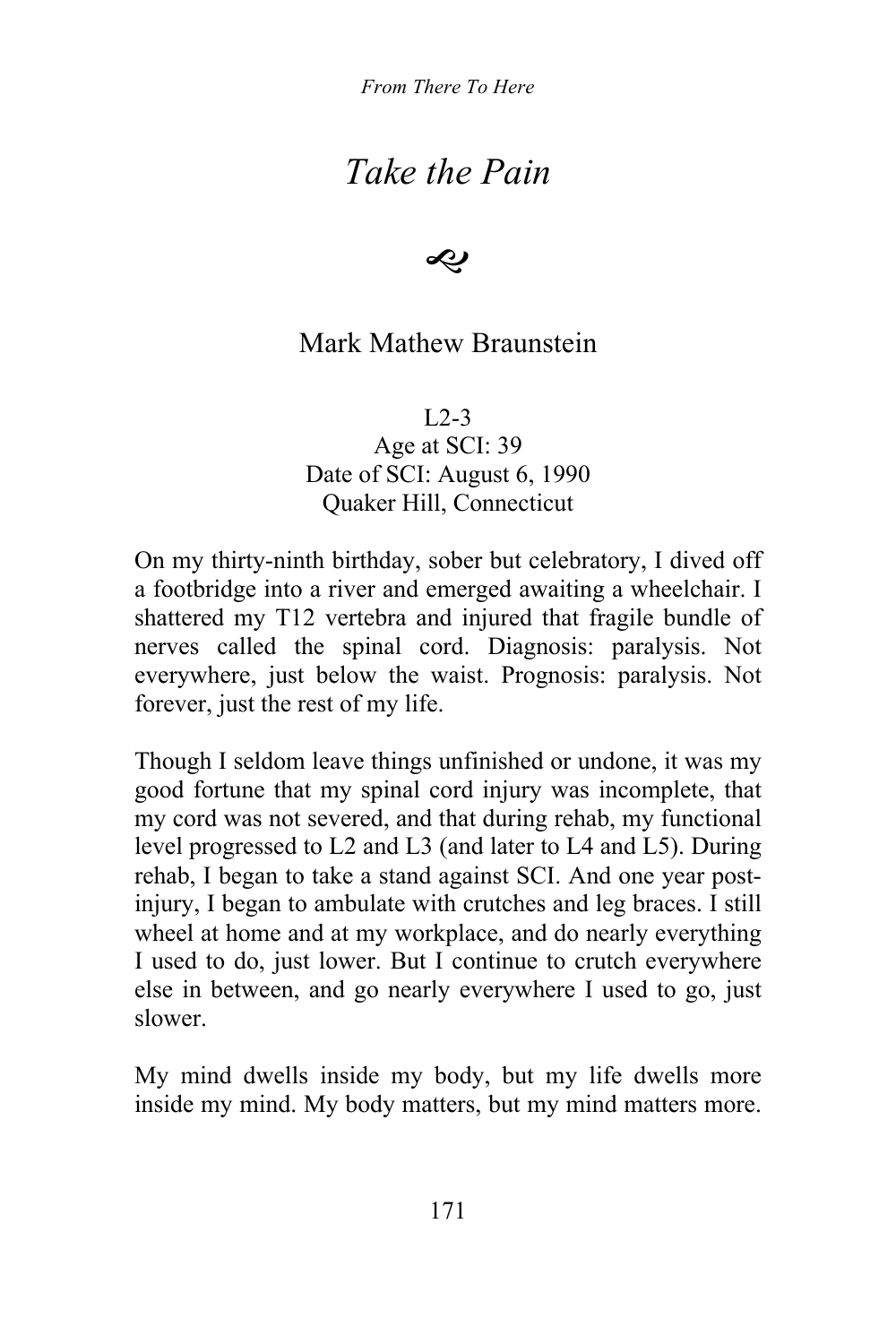*From There To Here*

### *Take the Pain*

D

#### Mark Mathew Braunstein

 $L2-3$ 

Age at SCI: 39 Date of SCI: August 6, 1990 Quaker Hill, Connecticut

On my thirty-ninth birthday, sober but celebratory, I dived off a footbridge into a river and emerged awaiting a wheelchair. I shattered my T12 vertebra and injured that fragile bundle of nerves called the spinal cord. Diagnosis: paralysis. Not everywhere, just below the waist. Prognosis: paralysis. Not forever, just the rest of my life.

Though I seldom leave things unfinished or undone, it was my good fortune that my spinal cord injury was incomplete, that my cord was not severed, and that during rehab, my functional level progressed to L2 and L3 (and later to L4 and L5). During rehab, I began to take a stand against SCI. And one year postinjury, I began to ambulate with crutches and leg braces. I still wheel at home and at my workplace, and do nearly everything I used to do, just lower. But I continue to crutch everywhere else in between, and go nearly everywhere I used to go, just slower.

My mind dwells inside my body, but my life dwells more inside my mind. My body matters, but my mind matters more.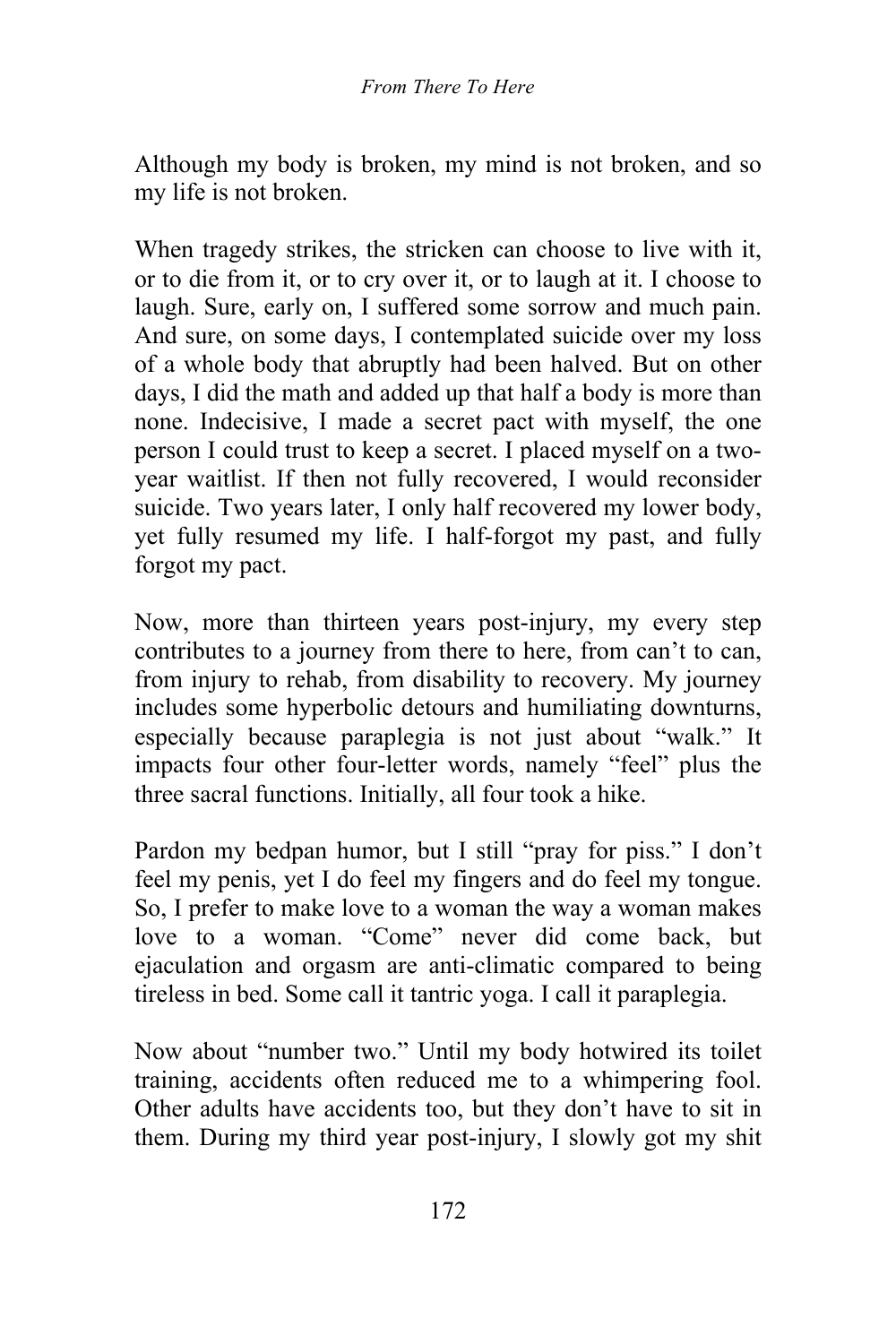Although my body is broken, my mind is not broken, and so my life is not broken.

When tragedy strikes, the stricken can choose to live with it, or to die from it, or to cry over it, or to laugh at it. I choose to laugh. Sure, early on, I suffered some sorrow and much pain. And sure, on some days, I contemplated suicide over my loss of a whole body that abruptly had been halved. But on other days, I did the math and added up that half a body is more than none. Indecisive, I made a secret pact with myself, the one person I could trust to keep a secret. I placed myself on a twoyear waitlist. If then not fully recovered, I would reconsider suicide. Two years later, I only half recovered my lower body, yet fully resumed my life. I half-forgot my past, and fully forgot my pact.

Now, more than thirteen years post-injury, my every step contributes to a journey from there to here, from can't to can, from injury to rehab, from disability to recovery. My journey includes some hyperbolic detours and humiliating downturns, especially because paraplegia is not just about "walk." It impacts four other four-letter words, namely "feel" plus the three sacral functions. Initially, all four took a hike.

Pardon my bedpan humor, but I still "pray for piss." I don't feel my penis, yet I do feel my fingers and do feel my tongue. So, I prefer to make love to a woman the way a woman makes love to a woman. "Come" never did come back, but ejaculation and orgasm are anti-climatic compared to being tireless in bed. Some call it tantric yoga. I call it paraplegia.

Now about "number two." Until my body hotwired its toilet training, accidents often reduced me to a whimpering fool. Other adults have accidents too, but they don't have to sit in them. During my third year post-injury, I slowly got my shit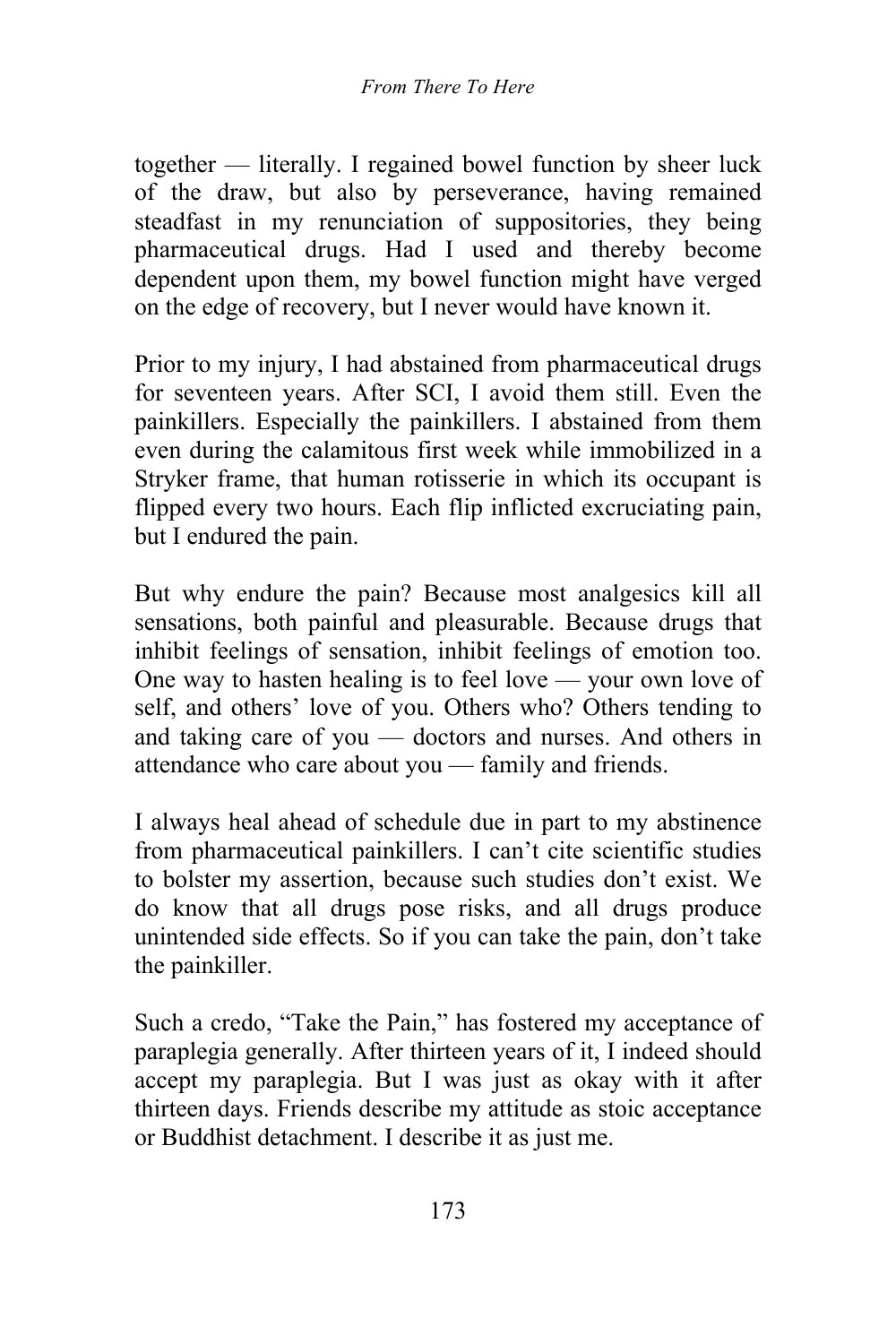together — literally. I regained bowel function by sheer luck of the draw, but also by perseverance, having remained steadfast in my renunciation of suppositories, they being pharmaceutical drugs. Had I used and thereby become dependent upon them, my bowel function might have verged on the edge of recovery, but I never would have known it.

Prior to my injury, I had abstained from pharmaceutical drugs for seventeen years. After SCI, I avoid them still. Even the painkillers. Especially the painkillers. I abstained from them even during the calamitous first week while immobilized in a Stryker frame, that human rotisserie in which its occupant is flipped every two hours. Each flip inflicted excruciating pain, but I endured the pain.

But why endure the pain? Because most analgesics kill all sensations, both painful and pleasurable. Because drugs that inhibit feelings of sensation, inhibit feelings of emotion too. One way to hasten healing is to feel love — your own love of self, and others' love of you. Others who? Others tending to and taking care of you — doctors and nurses. And others in attendance who care about you — family and friends.

I always heal ahead of schedule due in part to my abstinence from pharmaceutical painkillers. I can't cite scientific studies to bolster my assertion, because such studies don't exist. We do know that all drugs pose risks, and all drugs produce unintended side effects. So if you can take the pain, don't take the painkiller.

Such a credo, "Take the Pain," has fostered my acceptance of paraplegia generally. After thirteen years of it, I indeed should accept my paraplegia. But I was just as okay with it after thirteen days. Friends describe my attitude as stoic acceptance or Buddhist detachment. I describe it as just me.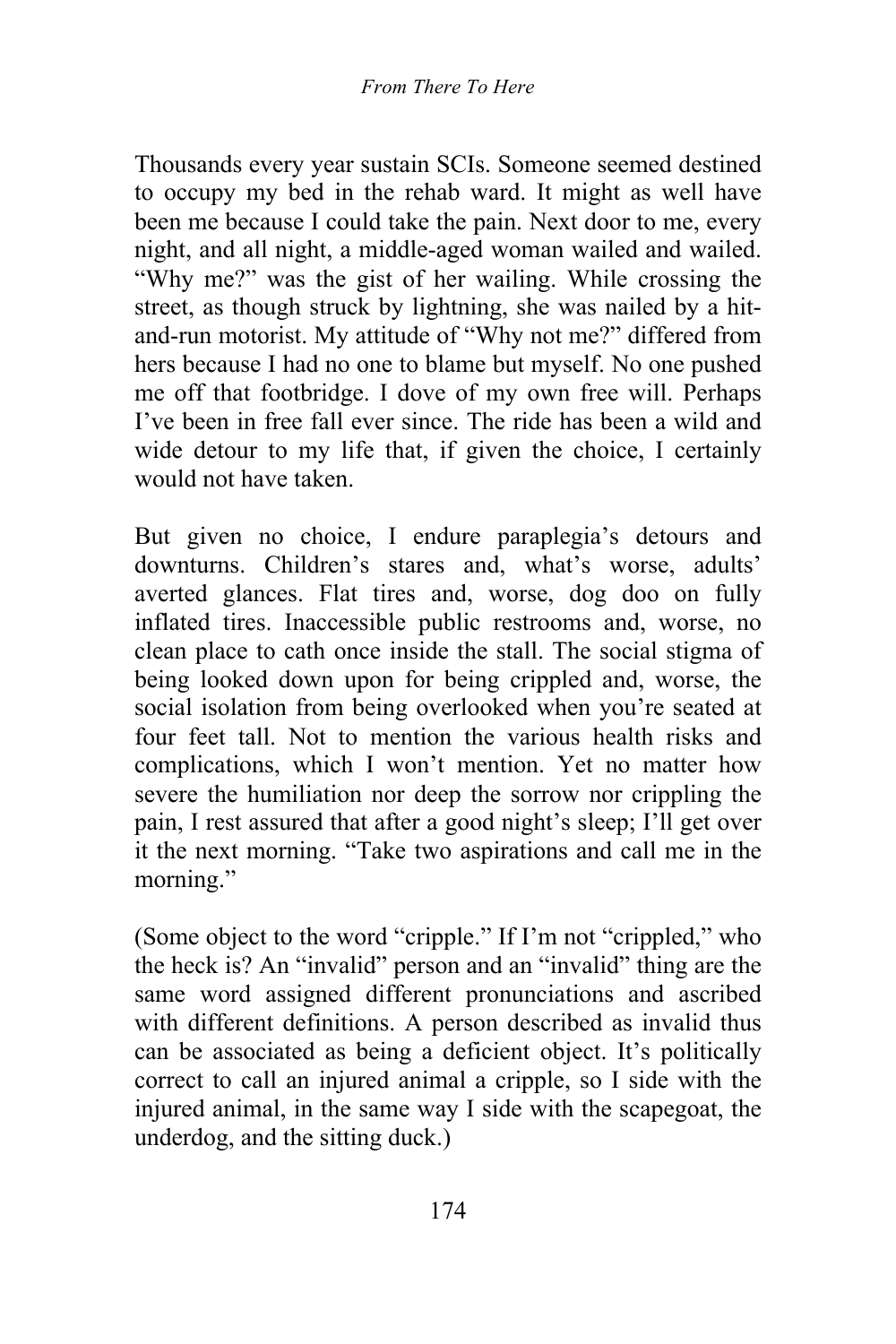Thousands every year sustain SCIs. Someone seemed destined to occupy my bed in the rehab ward. It might as well have been me because I could take the pain. Next door to me, every night, and all night, a middle-aged woman wailed and wailed. "Why me?" was the gist of her wailing. While crossing the street, as though struck by lightning, she was nailed by a hitand-run motorist. My attitude of "Why not me?" differed from hers because I had no one to blame but myself. No one pushed me off that footbridge. I dove of my own free will. Perhaps I've been in free fall ever since. The ride has been a wild and wide detour to my life that, if given the choice, I certainly would not have taken.

But given no choice, I endure paraplegia's detours and downturns. Children's stares and, what's worse, adults' averted glances. Flat tires and, worse, dog doo on fully inflated tires. Inaccessible public restrooms and, worse, no clean place to cath once inside the stall. The social stigma of being looked down upon for being crippled and, worse, the social isolation from being overlooked when you're seated at four feet tall. Not to mention the various health risks and complications, which I won't mention. Yet no matter how severe the humiliation nor deep the sorrow nor crippling the pain, I rest assured that after a good night's sleep; I'll get over it the next morning. "Take two aspirations and call me in the morning."

(Some object to the word "cripple." If I'm not "crippled," who the heck is? An "invalid" person and an "invalid" thing are the same word assigned different pronunciations and ascribed with different definitions. A person described as invalid thus can be associated as being a deficient object. It's politically correct to call an injured animal a cripple, so I side with the injured animal, in the same way I side with the scapegoat, the underdog, and the sitting duck.)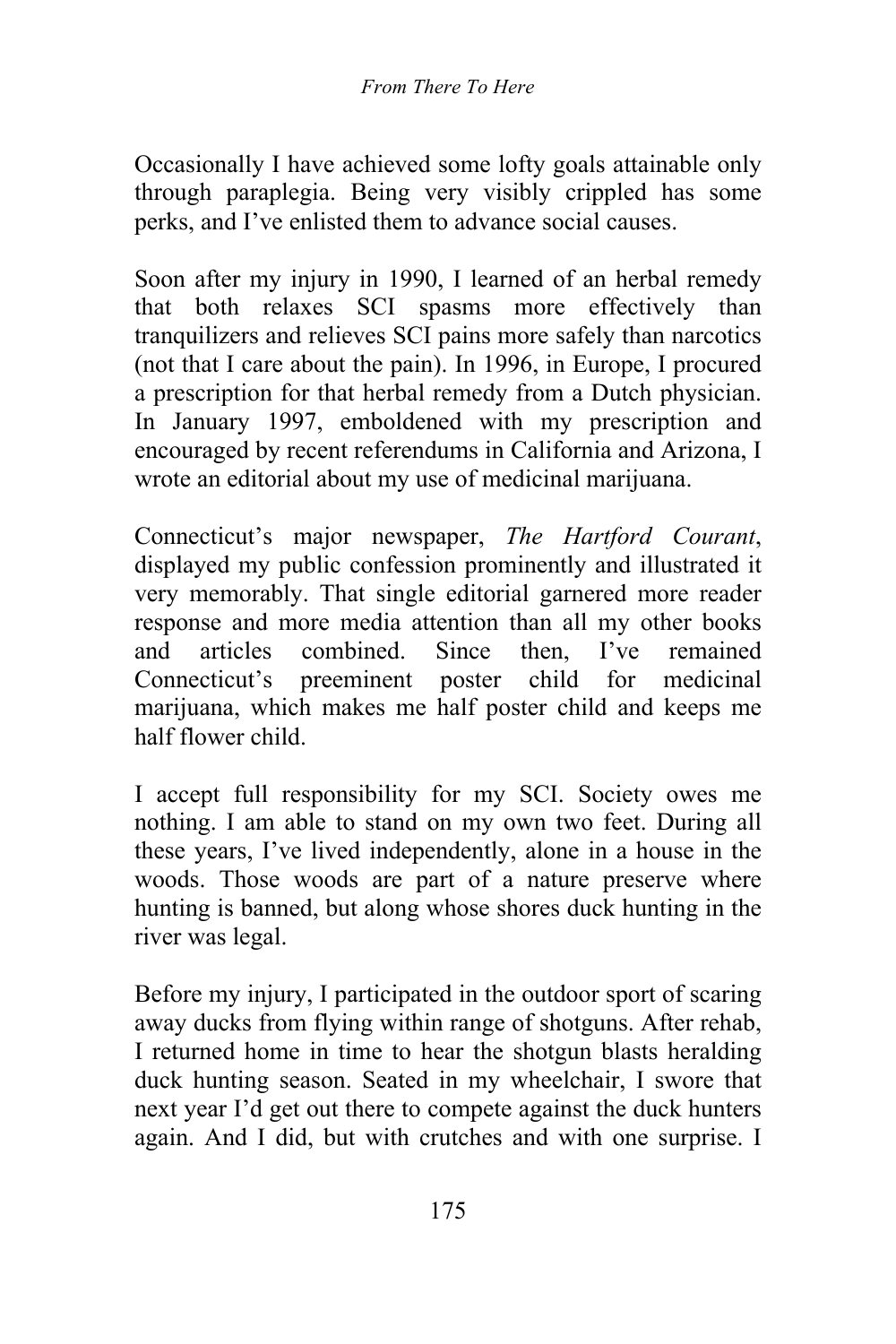Occasionally I have achieved some lofty goals attainable only through paraplegia. Being very visibly crippled has some perks, and I've enlisted them to advance social causes.

Soon after my injury in 1990, I learned of an herbal remedy that both relaxes SCI spasms more effectively than tranquilizers and relieves SCI pains more safely than narcotics (not that I care about the pain). In 1996, in Europe, I procured a prescription for that herbal remedy from a Dutch physician. In January 1997, emboldened with my prescription and encouraged by recent referendums in California and Arizona, I wrote an editorial about my use of medicinal marijuana.

Connecticut's major newspaper, *The Hartford Courant*, displayed my public confession prominently and illustrated it very memorably. That single editorial garnered more reader response and more media attention than all my other books and articles combined. Since then, I've remained Connecticut's preeminent poster child for medicinal marijuana, which makes me half poster child and keeps me half flower child.

I accept full responsibility for my SCI. Society owes me nothing. I am able to stand on my own two feet. During all these years, I've lived independently, alone in a house in the woods. Those woods are part of a nature preserve where hunting is banned, but along whose shores duck hunting in the river was legal.

Before my injury, I participated in the outdoor sport of scaring away ducks from flying within range of shotguns. After rehab, I returned home in time to hear the shotgun blasts heralding duck hunting season. Seated in my wheelchair, I swore that next year I'd get out there to compete against the duck hunters again. And I did, but with crutches and with one surprise. I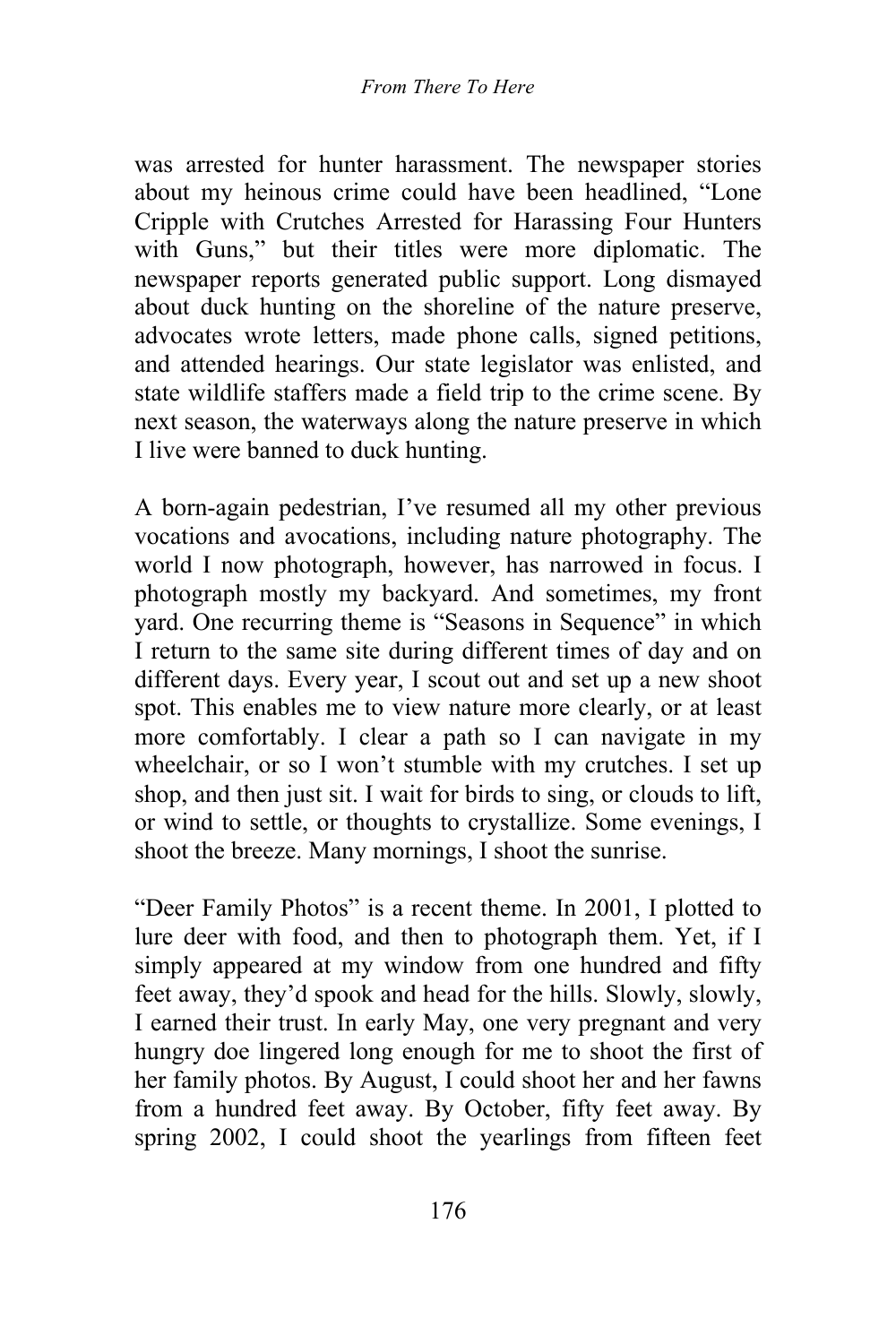was arrested for hunter harassment. The newspaper stories about my heinous crime could have been headlined, "Lone Cripple with Crutches Arrested for Harassing Four Hunters with Guns," but their titles were more diplomatic. The newspaper reports generated public support. Long dismayed about duck hunting on the shoreline of the nature preserve, advocates wrote letters, made phone calls, signed petitions, and attended hearings. Our state legislator was enlisted, and state wildlife staffers made a field trip to the crime scene. By next season, the waterways along the nature preserve in which I live were banned to duck hunting.

A born-again pedestrian, I've resumed all my other previous vocations and avocations, including nature photography. The world I now photograph, however, has narrowed in focus. I photograph mostly my backyard. And sometimes, my front yard. One recurring theme is "Seasons in Sequence" in which I return to the same site during different times of day and on different days. Every year, I scout out and set up a new shoot spot. This enables me to view nature more clearly, or at least more comfortably. I clear a path so I can navigate in my wheelchair, or so I won't stumble with my crutches. I set up shop, and then just sit. I wait for birds to sing, or clouds to lift, or wind to settle, or thoughts to crystallize. Some evenings, I shoot the breeze. Many mornings, I shoot the sunrise.

"Deer Family Photos" is a recent theme. In 2001, I plotted to lure deer with food, and then to photograph them. Yet, if I simply appeared at my window from one hundred and fifty feet away, they'd spook and head for the hills. Slowly, slowly, I earned their trust. In early May, one very pregnant and very hungry doe lingered long enough for me to shoot the first of her family photos. By August, I could shoot her and her fawns from a hundred feet away. By October, fifty feet away. By spring 2002, I could shoot the yearlings from fifteen feet